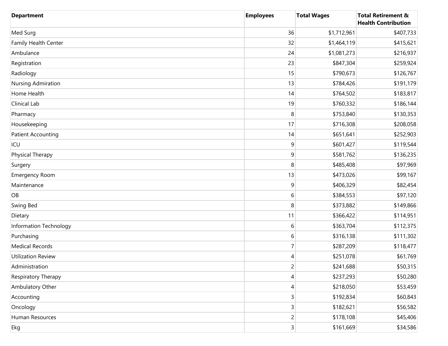| <b>Department</b>         | <b>Employees</b>        | <b>Total Wages</b> | <b>Total Retirement &amp;</b><br><b>Health Contribution</b> |
|---------------------------|-------------------------|--------------------|-------------------------------------------------------------|
| Med Surg                  | 36                      | \$1,712,961        | \$407,733                                                   |
| Family Health Center      | 32                      | \$1,464,119        | \$415,621                                                   |
| Ambulance                 | 24                      | \$1,081,273        | \$216,937                                                   |
| Registration              | 23                      | \$847,304          | \$259,924                                                   |
| Radiology                 | 15                      | \$790,673          | \$126,767                                                   |
| Nursing Admiration        | 13                      | \$784,426          | \$191,179                                                   |
| Home Health               | 14                      | \$764,502          | \$183,817                                                   |
| Clinical Lab              | 19                      | \$760,332          | \$186,144                                                   |
| Pharmacy                  | 8                       | \$753,840          | \$130,353                                                   |
| Housekeeping              | 17                      | \$716,308          | \$208,058                                                   |
| <b>Patient Accounting</b> | 14                      | \$651,641          | \$252,903                                                   |
| ICU                       | 9                       | \$601,427          | \$119,544                                                   |
| Physical Therapy          | 9                       | \$581,762          | \$136,235                                                   |
| Surgery                   | 8                       | \$485,408          | \$97,969                                                    |
| <b>Emergency Room</b>     | 13                      | \$473,026          | \$99,167                                                    |
| Maintenance               | 9                       | \$406,329          | \$82,454                                                    |
| OB                        | 6                       | \$384,553          | \$97,120                                                    |
| Swing Bed                 | 8                       | \$373,882          | \$149,866                                                   |
| Dietary                   | 11                      | \$366,422          | \$114,951                                                   |
| Information Technology    | 6                       | \$363,704          | \$112,375                                                   |
| Purchasing                | 6                       | \$316,138          | \$111,302                                                   |
| <b>Medical Records</b>    | 7                       | \$287,209          | \$118,477                                                   |
| <b>Utilization Review</b> | 4                       | \$251,078          | \$61,769                                                    |
| Administration            | $\overline{2}$          | \$241,688          | \$50,315                                                    |
| Respiratory Therapy       | 4                       | \$237,293          | \$50,280                                                    |
| Ambulatory Other          | 4                       | \$218,050          | \$53,459                                                    |
| Accounting                | 3                       | \$192,834          | \$60,843                                                    |
| Oncology                  | 3                       | \$182,621          | \$56,582                                                    |
| Human Resources           | $\overline{c}$          | \$178,108          | \$45,406                                                    |
| Ekg                       | $\overline{\mathbf{3}}$ | \$161,669          | \$34,586                                                    |